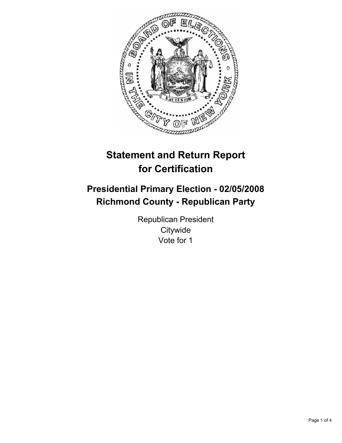

# **Statement and Return Report for Certification**

## **Presidential Primary Election - 02/05/2008 Richmond County - Republican Party**

Republican President **Citywide** Vote for 1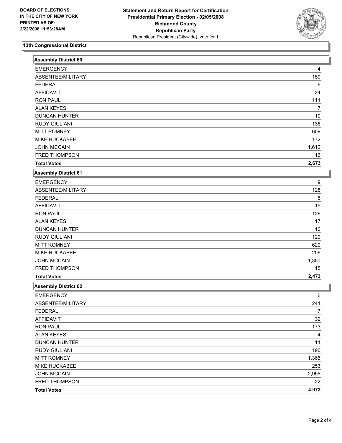

### **13th Congressional District**

| <b>Assembly District 60</b> |       |
|-----------------------------|-------|
| <b>EMERGENCY</b>            | 4     |
| ABSENTEE/MILITARY           | 159   |
| <b>FEDERAL</b>              | 6     |
| <b>AFFIDAVIT</b>            | 24    |
| <b>RON PAUL</b>             | 111   |
| <b>ALAN KEYES</b>           | 7     |
| <b>DUNCAN HUNTER</b>        | 10    |
| <b>RUDY GIULIANI</b>        | 136   |
| <b>MITT ROMNEY</b>          | 609   |
| MIKE HUCKABEE               | 172   |
| <b>JOHN MCCAIN</b>          | 1,612 |
| FRED THOMPSON               | 16    |
| <b>Total Votes</b>          | 2,673 |
| <b>Assembly District 61</b> |       |
| <b>EMERGENCY</b>            | 9     |
| ABSENTEE/MILITARY           | 128   |
| <b>FEDERAL</b>              | 5     |
| <b>AFFIDAVIT</b>            | 19    |
| <b>RON PAUL</b>             | 126   |
| <b>ALAN KEYES</b>           | 17    |
| <b>DUNCAN HUNTER</b>        | 10    |
| <b>RUDY GIULIANI</b>        | 129   |
| <b>MITT ROMNEY</b>          | 620   |
| MIKE HUCKABEE               | 206   |
| <b>JOHN MCCAIN</b>          | 1,350 |
| FRED THOMPSON               | 15    |
| <b>Total Votes</b>          | 2,473 |
| <b>Assembly District 62</b> |       |
| <b>EMERGENCY</b>            | 6     |
| ABSENTEE/MILITARY           | 241   |
| <b>FEDERAL</b>              | 7     |
| <b>AFFIDAVIT</b>            | 32    |
| <b>RON PAUL</b>             | 173   |
| <b>ALAN KEYES</b>           | 4     |
| <b>DUNCAN HUNTER</b>        | 11    |
| <b>RUDY GIULIANI</b>        | 190   |
| <b>MITT ROMNEY</b>          | 1,365 |
| MIKE HUCKABEE               | 253   |
| <b>JOHN MCCAIN</b>          | 2,955 |
| FRED THOMPSON               | 22    |
| <b>Total Votes</b>          | 4,973 |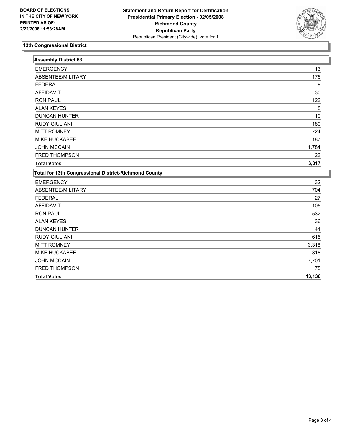

#### **13th Congressional District**

| <b>Assembly District 63</b>                                  |        |
|--------------------------------------------------------------|--------|
| <b>EMERGENCY</b>                                             | 13     |
| ABSENTEE/MILITARY                                            | 176    |
| <b>FEDERAL</b>                                               | 9      |
| <b>AFFIDAVIT</b>                                             | 30     |
| <b>RON PAUL</b>                                              | 122    |
| <b>ALAN KEYES</b>                                            | 8      |
| <b>DUNCAN HUNTER</b>                                         | 10     |
| <b>RUDY GIULIANI</b>                                         | 160    |
| <b>MITT ROMNEY</b>                                           | 724    |
| MIKE HUCKABEE                                                | 187    |
| <b>JOHN MCCAIN</b>                                           | 1,784  |
| FRED THOMPSON                                                | 22     |
| <b>Total Votes</b>                                           | 3,017  |
| <b>Total for 13th Congressional District-Richmond County</b> |        |
| <b>EMERGENCY</b>                                             | 32     |
| ABSENTEE/MILITARY                                            | 704    |
| <b>FEDERAL</b>                                               | 27     |
| <b>AFFIDAVIT</b>                                             | 105    |
| <b>RON PAUL</b>                                              | 532    |
| <b>ALAN KEYES</b>                                            | 36     |
| <b>DUNCAN HUNTER</b>                                         | 41     |
| <b>RUDY GIULIANI</b>                                         | 615    |
| <b>MITT ROMNEY</b>                                           | 3,318  |
| <b>MIKE HUCKABEE</b>                                         | 818    |
| <b>JOHN MCCAIN</b>                                           | 7,701  |
| <b>FRED THOMPSON</b>                                         | 75     |
| <b>Total Votes</b>                                           | 13,136 |
|                                                              |        |